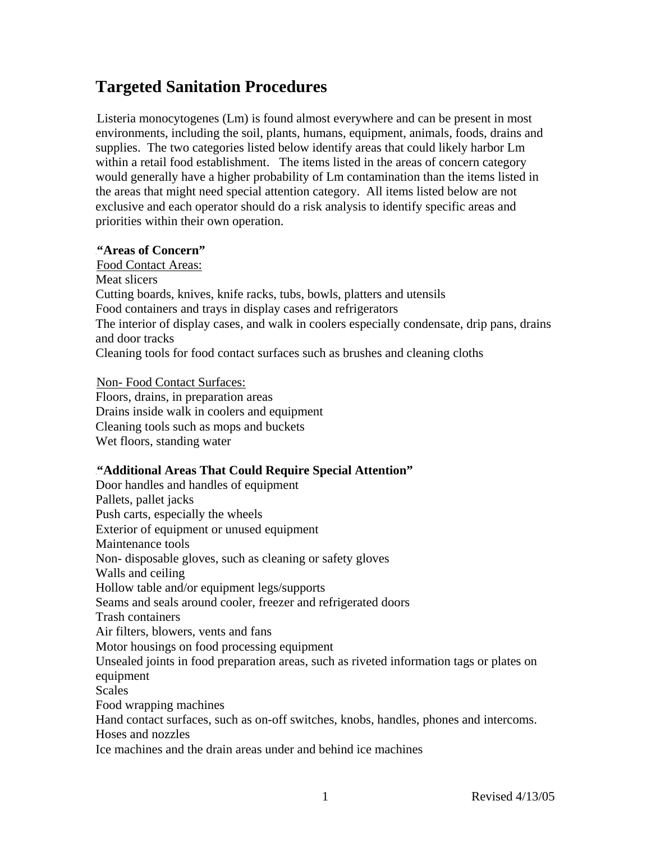# **Targeted Sanitation Procedures**

Listeria monocytogenes (Lm) is found almost everywhere and can be present in most environments, including the soil, plants, humans, equipment, animals, foods, drains and supplies. The two categories listed below identify areas that could likely harbor Lm within a retail food establishment. The items listed in the areas of concern category would generally have a higher probability of Lm contamination than the items listed in the areas that might need special attention category. All items listed below are not exclusive and each operator should do a risk analysis to identify specific areas and priorities within their own operation.

### 1B**"Areas of Concern"**

Food Contact Areas: Meat slicers Cutting boards, knives, knife racks, tubs, bowls, platters and utensils Food containers and trays in display cases and refrigerators The interior of display cases, and walk in coolers especially condensate, drip pans, drains and door tracks Cleaning tools for food contact surfaces such as brushes and cleaning cloths

Non-Food Contact Surfaces:

Floors, drains, in preparation areas Drains inside walk in coolers and equipment Cleaning tools such as mops and buckets Wet floors, standing water

### 7B**"Additional Areas That Could Require Special Attention"**

Door handles and handles of equipment Pallets, pallet jacks Push carts, especially the wheels Exterior of equipment or unused equipment Maintenance tools Non- disposable gloves, such as cleaning or safety gloves Walls and ceiling Hollow table and/or equipment legs/supports Seams and seals around cooler, freezer and refrigerated doors Trash containers Air filters, blowers, vents and fans Motor housings on food processing equipment Unsealed joints in food preparation areas, such as riveted information tags or plates on equipment **Scales** Food wrapping machines Hand contact surfaces, such as on-off switches, knobs, handles, phones and intercoms. Hoses and nozzles Ice machines and the drain areas under and behind ice machines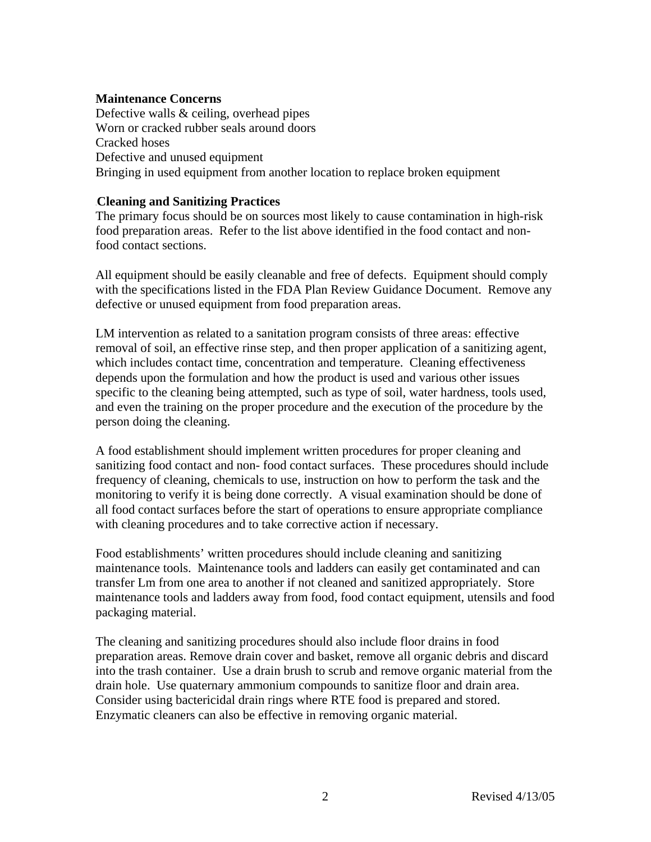## **Maintenance Concerns**

Defective walls & ceiling, overhead pipes Worn or cracked rubber seals around doors Cracked hoses Defective and unused equipment Bringing in used equipment from another location to replace broken equipment

## 3B**Cleaning and Sanitizing Practices**

The primary focus should be on sources most likely to cause contamination in high-risk food preparation areas. Refer to the list above identified in the food contact and nonfood contact sections.

All equipment should be easily cleanable and free of defects. Equipment should comply with the specifications listed in the FDA Plan Review Guidance Document. Remove any defective or unused equipment from food preparation areas.

LM intervention as related to a sanitation program consists of three areas: effective removal of soil, an effective rinse step, and then proper application of a sanitizing agent, which includes contact time, concentration and temperature. Cleaning effectiveness depends upon the formulation and how the product is used and various other issues specific to the cleaning being attempted, such as type of soil, water hardness, tools used, and even the training on the proper procedure and the execution of the procedure by the person doing the cleaning.

A food establishment should implement written procedures for proper cleaning and sanitizing food contact and non- food contact surfaces. These procedures should include frequency of cleaning, chemicals to use, instruction on how to perform the task and the monitoring to verify it is being done correctly. A visual examination should be done of all food contact surfaces before the start of operations to ensure appropriate compliance with cleaning procedures and to take corrective action if necessary.

Food establishments' written procedures should include cleaning and sanitizing maintenance tools. Maintenance tools and ladders can easily get contaminated and can transfer Lm from one area to another if not cleaned and sanitized appropriately. Store maintenance tools and ladders away from food, food contact equipment, utensils and food packaging material.

The cleaning and sanitizing procedures should also include floor drains in food preparation areas. Remove drain cover and basket, remove all organic debris and discard into the trash container. Use a drain brush to scrub and remove organic material from the drain hole. Use quaternary ammonium compounds to sanitize floor and drain area. Consider using bactericidal drain rings where RTE food is prepared and stored. Enzymatic cleaners can also be effective in removing organic material.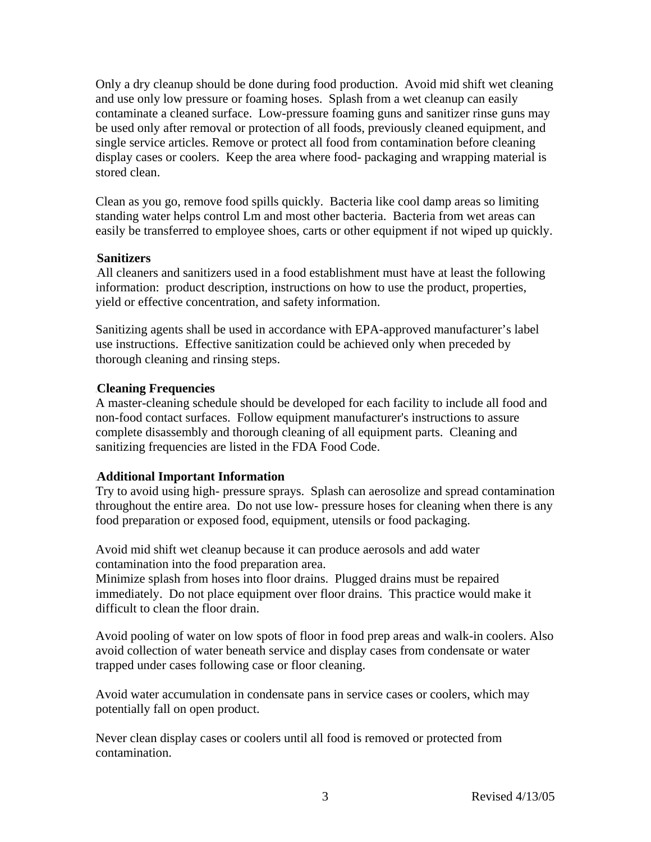Only a dry cleanup should be done during food production. Avoid mid shift wet cleaning and use only low pressure or foaming hoses. Splash from a wet cleanup can easily contaminate a cleaned surface. Low-pressure foaming guns and sanitizer rinse guns may be used only after removal or protection of all foods, previously cleaned equipment, and single service articles. Remove or protect all food from contamination before cleaning display cases or coolers. Keep the area where food- packaging and wrapping material is stored clean.

Clean as you go, remove food spills quickly. Bacteria like cool damp areas so limiting standing water helps control Lm and most other bacteria. Bacteria from wet areas can easily be transferred to employee shoes, carts or other equipment if not wiped up quickly.

### 4B**Sanitizers**

All cleaners and sanitizers used in a food establishment must have at least the following information: product description, instructions on how to use the product, properties, yield or effective concentration, and safety information.

Sanitizing agents shall be used in accordance with EPA-approved manufacturer's label use instructions.Effective sanitization could be achieved only when preceded by thorough cleaning and rinsing steps.

# 5B**Cleaning Frequencies**

A master-cleaning schedule should be developed for each facility to include all food and non-food contact surfaces. Follow equipment manufacturer's instructions to assure complete disassembly and thorough cleaning of all equipment parts. Cleaning and sanitizing frequencies are listed in the FDA Food Code.

# 6B**Additional Important Information**

Try to avoid using high- pressure sprays. Splash can aerosolize and spread contamination throughout the entire area. Do not use low- pressure hoses for cleaning when there is any food preparation or exposed food, equipment, utensils or food packaging.

Avoid mid shift wet cleanup because it can produce aerosols and add water contamination into the food preparation area.

Minimize splash from hoses into floor drains. Plugged drains must be repaired immediately. Do not place equipment over floor drains. This practice would make it difficult to clean the floor drain.

Avoid pooling of water on low spots of floor in food prep areas and walk-in coolers. Also avoid collection of water beneath service and display cases from condensate or water trapped under cases following case or floor cleaning.

Avoid water accumulation in condensate pans in service cases or coolers, which may potentially fall on open product.

Never clean display cases or coolers until all food is removed or protected from contamination.